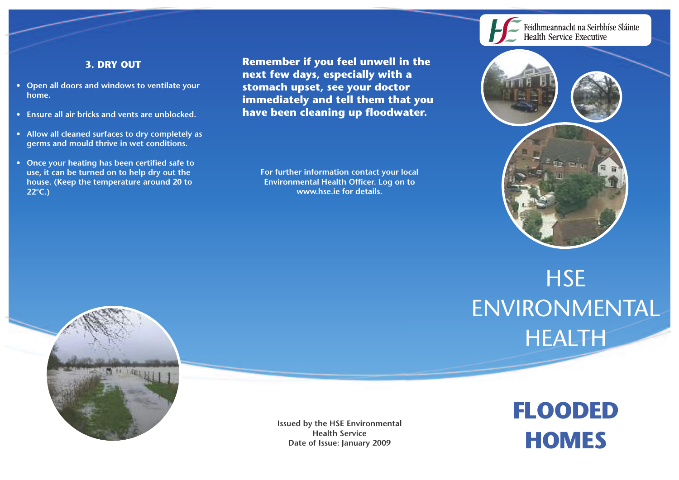## **3. DRY OUT**

- **• Open all doors and windows to ventilate your home.**
- **• Ensure all air bricks and vents are unblocked.**
- **• Allow all cleaned surfaces to dry completely as germs and mould thrive in wet conditions.**
- **• Once your heating has been certified safe to use, it can be turned on to help dry out the house. (Keep the temperature around 20 to 22°C.)**

**Remember if you feel unwell in the next few days, especially with a stomach upset, see your doctor immediately and tell them that you have been cleaning up floodwater.**

**For further information contact your local Environmental Health Officer. Log on to www.hse.ie for details.**



# **HSE** ENVIRONMENTAL HEALTH

**FLOODED**

**HOMES**



**Issued by the HSE Environmental Health Service Date of Issue: January 2009**